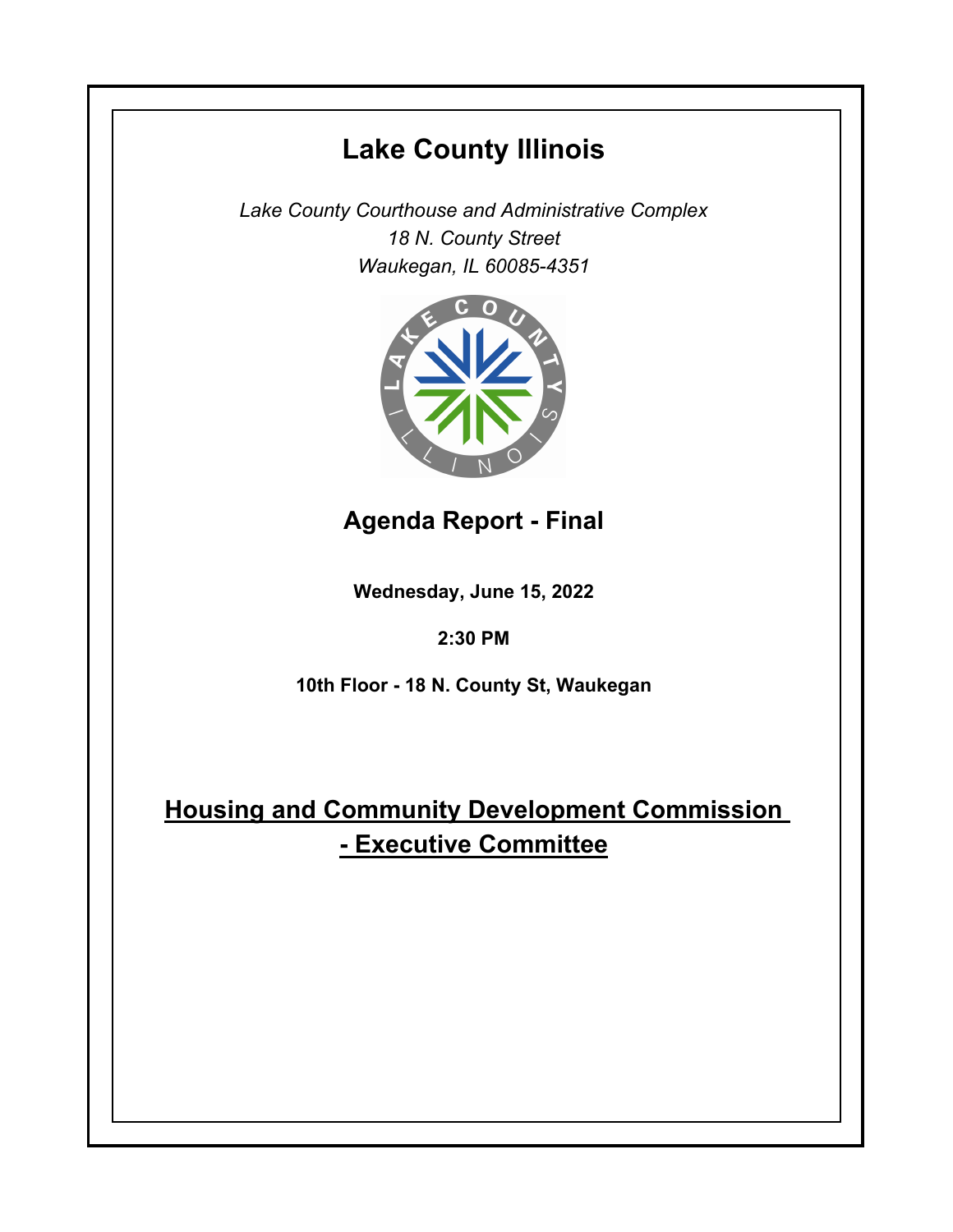## **Lake County Illinois**

*Lake County Courthouse and Administrative Complex 18 N. County Street Waukegan, IL 60085-4351*



## **Agenda Report - Final**

**Wednesday, June 15, 2022**

## **2:30 PM**

**10th Floor - 18 N. County St, Waukegan**

## **Housing and Community Development Commission - Executive Committee**